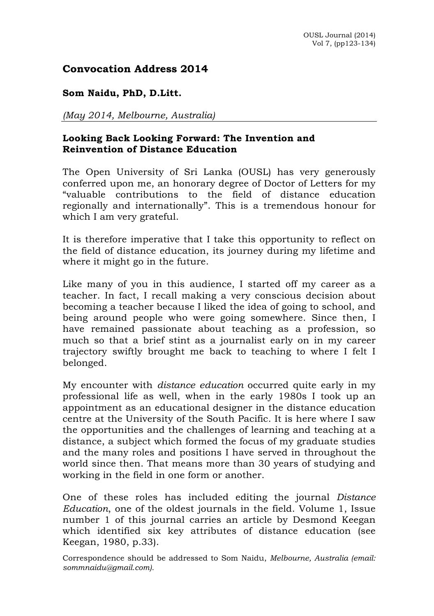# **Convocation Address 2014**

### **Som Naidu, PhD, D.Litt.**

*(May 2014, Melbourne, Australia)*

## **Looking Back Looking Forward: The Invention and Reinvention of Distance Education**

The Open University of Sri Lanka (OUSL) has very generously conferred upon me, an honorary degree of Doctor of Letters for my "valuable contributions to the field of distance education regionally and internationally". This is a tremendous honour for which I am very grateful.

It is therefore imperative that I take this opportunity to reflect on the field of distance education, its journey during my lifetime and where it might go in the future.

Like many of you in this audience, I started off my career as a teacher. In fact, I recall making a very conscious decision about becoming a teacher because I liked the idea of going to school, and being around people who were going somewhere. Since then, I have remained passionate about teaching as a profession, so much so that a brief stint as a journalist early on in my career trajectory swiftly brought me back to teaching to where I felt I belonged.

My encounter with *distance education* occurred quite early in my professional life as well, when in the early 1980s I took up an appointment as an educational designer in the distance education centre at the University of the South Pacific. It is here where I saw the opportunities and the challenges of learning and teaching at a distance, a subject which formed the focus of my graduate studies and the many roles and positions I have served in throughout the world since then. That means more than 30 years of studying and working in the field in one form or another.

One of these roles has included editing the journal *Distance Education*, one of the oldest journals in the field. Volume 1, Issue number 1 of this journal carries an article by Desmond Keegan which identified six key attributes of distance education (see Keegan, 1980, p.33).

Correspondence should be addressed to Som Naidu, *Melbourne, Australia (email: sommnaidu@gmail.com).*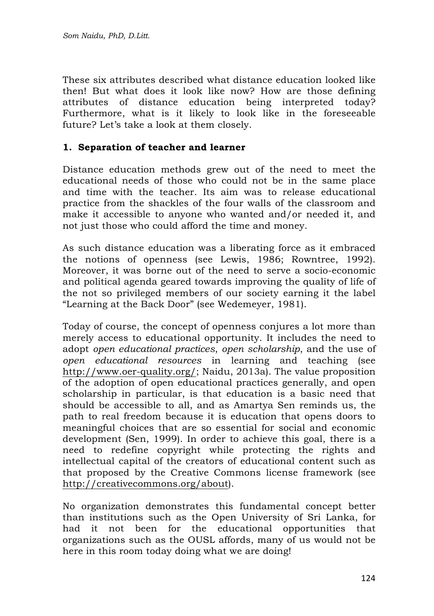These six attributes described what distance education looked like then! But what does it look like now? How are those defining attributes of distance education being interpreted today? Furthermore, what is it likely to look like in the foreseeable future? Let's take a look at them closely.

# **1. Separation of teacher and learner**

Distance education methods grew out of the need to meet the educational needs of those who could not be in the same place and time with the teacher. Its aim was to release educational practice from the shackles of the four walls of the classroom and make it accessible to anyone who wanted and/or needed it, and not just those who could afford the time and money.

As such distance education was a liberating force as it embraced the notions of openness (see Lewis, 1986; Rowntree, 1992). Moreover, it was borne out of the need to serve a socio-economic and political agenda geared towards improving the quality of life of the not so privileged members of our society earning it the label "Learning at the Back Door" (see Wedemeyer, 1981).

Today of course, the concept of openness conjures a lot more than merely access to educational opportunity. It includes the need to adopt *open educational practices*, *open scholarship*, and the use of *open educational resources* in learning and teaching (see http://www.oer-quality.org/; Naidu, 2013a). The value proposition of the adoption of open educational practices generally, and open scholarship in particular, is that education is a basic need that should be accessible to all, and as Amartya Sen reminds us, the path to real freedom because it is education that opens doors to meaningful choices that are so essential for social and economic development (Sen, 1999). In order to achieve this goal, there is a need to redefine copyright while protecting the rights and intellectual capital of the creators of educational content such as that proposed by the Creative Commons license framework (see http://creativecommons.org/about).

No organization demonstrates this fundamental concept better than institutions such as the Open University of Sri Lanka, for had it not been for the educational opportunities that organizations such as the OUSL affords, many of us would not be here in this room today doing what we are doing!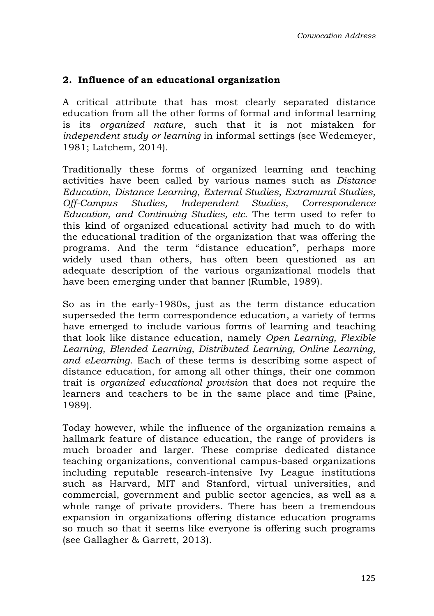## **2. Influence of an educational organization**

A critical attribute that has most clearly separated distance education from all the other forms of formal and informal learning is its *organized nature*, such that it is not mistaken for *independent study or learning* in informal settings (see Wedemeyer, 1981; Latchem, 2014).

Traditionally these forms of organized learning and teaching activities have been called by various names such as *Distance Education*, *Distance Learning*, *External Studies, Extramural Studies, Off-Campus Studies, Independent Studies, Correspondence Education, and Continuing Studies, etc*. The term used to refer to this kind of organized educational activity had much to do with the educational tradition of the organization that was offering the programs. And the term "distance education", perhaps more widely used than others, has often been questioned as an adequate description of the various organizational models that have been emerging under that banner (Rumble, 1989).

So as in the early-1980s, just as the term distance education superseded the term correspondence education, a variety of terms have emerged to include various forms of learning and teaching that look like distance education, namely *Open Learning, Flexible Learning, Blended Learning, Distributed Learning, Online Learning, and eLearning*. Each of these terms is describing some aspect of distance education, for among all other things, their one common trait is *organized educational provision* that does not require the learners and teachers to be in the same place and time (Paine, 1989).

Today however, while the influence of the organization remains a hallmark feature of distance education, the range of providers is much broader and larger. These comprise dedicated distance teaching organizations, conventional campus-based organizations including reputable research-intensive Ivy League institutions such as Harvard, MIT and Stanford, virtual universities, and commercial, government and public sector agencies, as well as a whole range of private providers. There has been a tremendous expansion in organizations offering distance education programs so much so that it seems like everyone is offering such programs (see Gallagher & Garrett, 2013).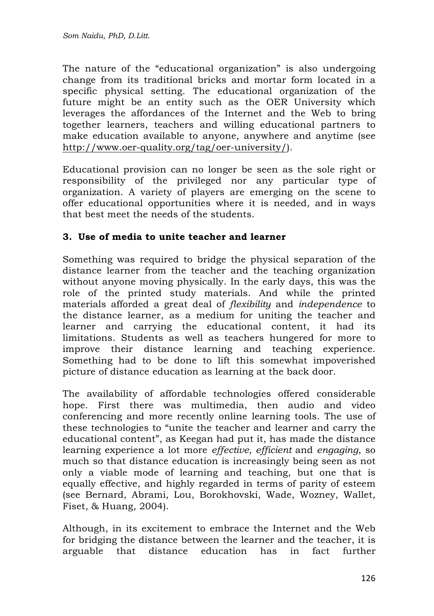The nature of the "educational organization" is also undergoing change from its traditional bricks and mortar form located in a specific physical setting. The educational organization of the future might be an entity such as the OER University which leverages the affordances of the Internet and the Web to bring together learners, teachers and willing educational partners to make education available to anyone, anywhere and anytime (see http://www.oer-quality.org/tag/oer-university/).

Educational provision can no longer be seen as the sole right or responsibility of the privileged nor any particular type of organization. A variety of players are emerging on the scene to offer educational opportunities where it is needed, and in ways that best meet the needs of the students.

### **3. Use of media to unite teacher and learner**

Something was required to bridge the physical separation of the distance learner from the teacher and the teaching organization without anyone moving physically. In the early days, this was the role of the printed study materials. And while the printed materials afforded a great deal of *flexibility* and *independence* to the distance learner, as a medium for uniting the teacher and learner and carrying the educational content, it had its limitations. Students as well as teachers hungered for more to improve their distance learning and teaching experience. Something had to be done to lift this somewhat impoverished picture of distance education as learning at the back door.

The availability of affordable technologies offered considerable hope. First there was multimedia, then audio and video conferencing and more recently online learning tools. The use of these technologies to "unite the teacher and learner and carry the educational content", as Keegan had put it, has made the distance learning experience a lot more *effective, efficient* and *engaging*, so much so that distance education is increasingly being seen as not only a viable mode of learning and teaching, but one that is equally effective, and highly regarded in terms of parity of esteem (see Bernard, Abrami, Lou, Borokhovski, Wade, Wozney, Wallet, Fiset, & Huang, 2004).

Although, in its excitement to embrace the Internet and the Web for bridging the distance between the learner and the teacher, it is arguable that distance education has in fact further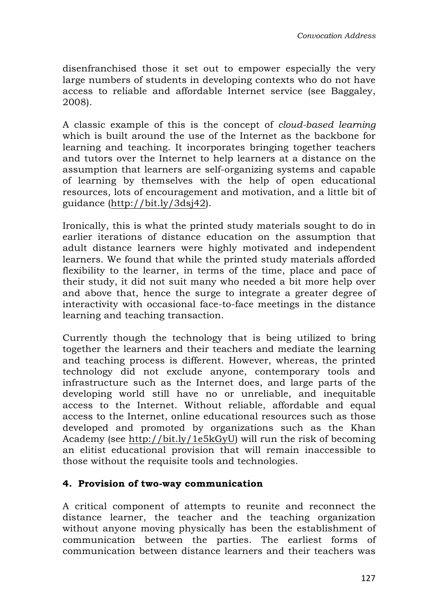disenfranchised those it set out to empower especially the very large numbers of students in developing contexts who do not have access to reliable and affordable Internet service (see Baggaley, 2008).

A classic example of this is the concept of *cloud-based learning* which is built around the use of the Internet as the backbone for learning and teaching. It incorporates bringing together teachers and tutors over the Internet to help learners at a distance on the assumption that learners are self-organizing systems and capable of learning by themselves with the help of open educational resources, lots of encouragement and motivation, and a little bit of guidance (http://bit.ly/3dsj42).

Ironically, this is what the printed study materials sought to do in earlier iterations of distance education on the assumption that adult distance learners were highly motivated and independent learners. We found that while the printed study materials afforded flexibility to the learner, in terms of the time, place and pace of their study, it did not suit many who needed a bit more help over and above that, hence the surge to integrate a greater degree of interactivity with occasional face-to-face meetings in the distance learning and teaching transaction.

Currently though the technology that is being utilized to bring together the learners and their teachers and mediate the learning and teaching process is different. However, whereas, the printed technology did not exclude anyone, contemporary tools and infrastructure such as the Internet does, and large parts of the developing world still have no or unreliable, and inequitable access to the Internet. Without reliable, affordable and equal access to the Internet, online educational resources such as those developed and promoted by organizations such as the Khan Academy (see http://bit.ly/1e5kGyU) will run the risk of becoming an elitist educational provision that will remain inaccessible to those without the requisite tools and technologies.

# **4. Provision of two-way communication**

A critical component of attempts to reunite and reconnect the distance learner, the teacher and the teaching organization without anyone moving physically has been the establishment of communication between the parties. The earliest forms of communication between distance learners and their teachers was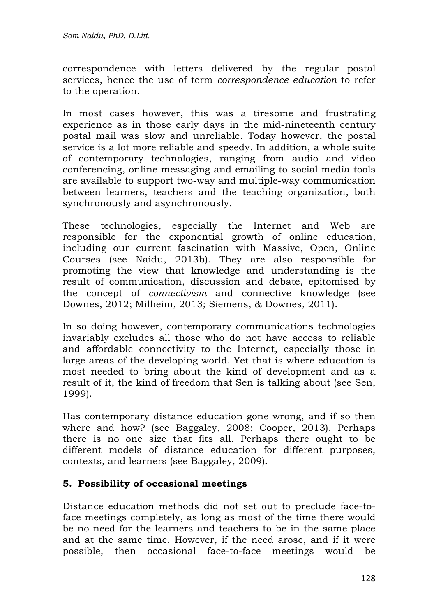#### *Som Naidu, PhD, D.Litt.*

correspondence with letters delivered by the regular postal services, hence the use of term *correspondence education* to refer to the operation.

In most cases however, this was a tiresome and frustrating experience as in those early days in the mid-nineteenth century postal mail was slow and unreliable. Today however, the postal service is a lot more reliable and speedy. In addition, a whole suite of contemporary technologies, ranging from audio and video conferencing, online messaging and emailing to social media tools are available to support two-way and multiple-way communication between learners, teachers and the teaching organization, both synchronously and asynchronously.

These technologies, especially the Internet and Web are responsible for the exponential growth of online education, including our current fascination with Massive, Open, Online Courses (see Naidu, 2013b). They are also responsible for promoting the view that knowledge and understanding is the result of communication, discussion and debate, epitomised by the concept of *connectivism* and connective knowledge (see Downes, 2012; Milheim, 2013; Siemens, & Downes, 2011).

In so doing however, contemporary communications technologies invariably excludes all those who do not have access to reliable and affordable connectivity to the Internet, especially those in large areas of the developing world. Yet that is where education is most needed to bring about the kind of development and as a result of it, the kind of freedom that Sen is talking about (see Sen, 1999).

Has contemporary distance education gone wrong, and if so then where and how? (see Baggaley, 2008; Cooper, 2013). Perhaps there is no one size that fits all. Perhaps there ought to be different models of distance education for different purposes, contexts, and learners (see Baggaley, 2009).

### **5. Possibility of occasional meetings**

Distance education methods did not set out to preclude face-toface meetings completely, as long as most of the time there would be no need for the learners and teachers to be in the same place and at the same time. However, if the need arose, and if it were possible, then occasional face-to-face meetings would be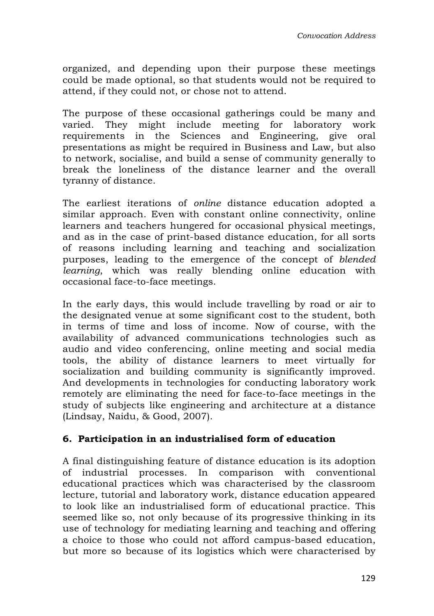organized, and depending upon their purpose these meetings could be made optional, so that students would not be required to attend, if they could not, or chose not to attend.

The purpose of these occasional gatherings could be many and varied. They might include meeting for laboratory work requirements in the Sciences and Engineering, give oral presentations as might be required in Business and Law, but also to network, socialise, and build a sense of community generally to break the loneliness of the distance learner and the overall tyranny of distance.

The earliest iterations of *online* distance education adopted a similar approach. Even with constant online connectivity, online learners and teachers hungered for occasional physical meetings, and as in the case of print-based distance education, for all sorts of reasons including learning and teaching and socialization purposes, leading to the emergence of the concept of *blended learning*, which was really blending online education with occasional face-to-face meetings.

In the early days, this would include travelling by road or air to the designated venue at some significant cost to the student, both in terms of time and loss of income. Now of course, with the availability of advanced communications technologies such as audio and video conferencing, online meeting and social media tools, the ability of distance learners to meet virtually for socialization and building community is significantly improved. And developments in technologies for conducting laboratory work remotely are eliminating the need for face-to-face meetings in the study of subjects like engineering and architecture at a distance (Lindsay, Naidu, & Good, 2007).

### **6. Participation in an industrialised form of education**

A final distinguishing feature of distance education is its adoption of industrial processes. In comparison with conventional educational practices which was characterised by the classroom lecture, tutorial and laboratory work, distance education appeared to look like an industrialised form of educational practice. This seemed like so, not only because of its progressive thinking in its use of technology for mediating learning and teaching and offering a choice to those who could not afford campus-based education, but more so because of its logistics which were characterised by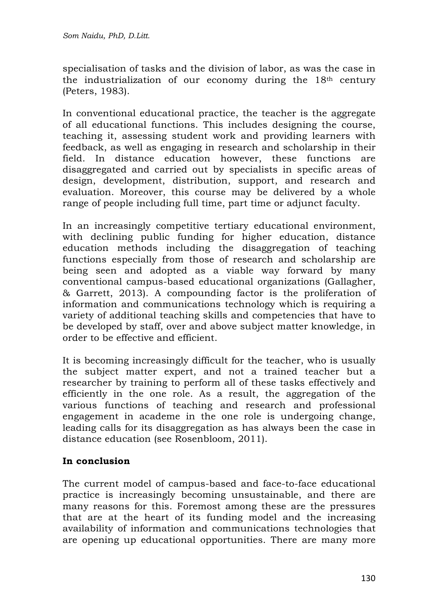specialisation of tasks and the division of labor, as was the case in the industrialization of our economy during the 18<sup>th</sup> century (Peters, 1983).

In conventional educational practice, the teacher is the aggregate of all educational functions. This includes designing the course, teaching it, assessing student work and providing learners with feedback, as well as engaging in research and scholarship in their field. In distance education however, these functions are disaggregated and carried out by specialists in specific areas of design, development, distribution, support, and research and evaluation. Moreover, this course may be delivered by a whole range of people including full time, part time or adjunct faculty.

In an increasingly competitive tertiary educational environment, with declining public funding for higher education, distance education methods including the disaggregation of teaching functions especially from those of research and scholarship are being seen and adopted as a viable way forward by many conventional campus-based educational organizations (Gallagher, & Garrett, 2013). A compounding factor is the proliferation of information and communications technology which is requiring a variety of additional teaching skills and competencies that have to be developed by staff, over and above subject matter knowledge, in order to be effective and efficient.

It is becoming increasingly difficult for the teacher, who is usually the subject matter expert, and not a trained teacher but a researcher by training to perform all of these tasks effectively and efficiently in the one role. As a result, the aggregation of the various functions of teaching and research and professional engagement in academe in the one role is undergoing change, leading calls for its disaggregation as has always been the case in distance education (see Rosenbloom, 2011).

# **In conclusion**

The current model of campus-based and face-to-face educational practice is increasingly becoming unsustainable, and there are many reasons for this. Foremost among these are the pressures that are at the heart of its funding model and the increasing availability of information and communications technologies that are opening up educational opportunities. There are many more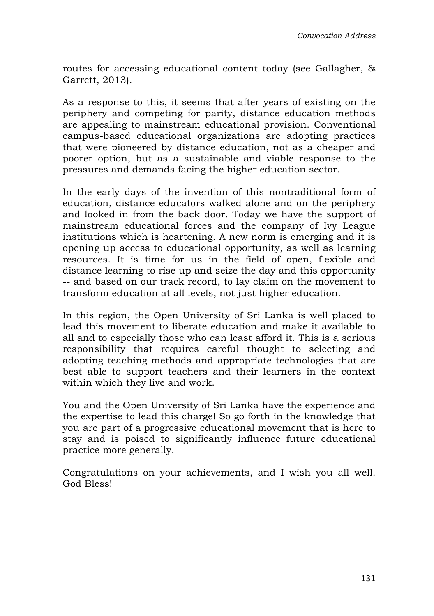routes for accessing educational content today (see Gallagher, & Garrett, 2013).

As a response to this, it seems that after years of existing on the periphery and competing for parity, distance education methods are appealing to mainstream educational provision. Conventional campus-based educational organizations are adopting practices that were pioneered by distance education, not as a cheaper and poorer option, but as a sustainable and viable response to the pressures and demands facing the higher education sector.

In the early days of the invention of this nontraditional form of education, distance educators walked alone and on the periphery and looked in from the back door. Today we have the support of mainstream educational forces and the company of Ivy League institutions which is heartening. A new norm is emerging and it is opening up access to educational opportunity, as well as learning resources. It is time for us in the field of open, flexible and distance learning to rise up and seize the day and this opportunity -- and based on our track record, to lay claim on the movement to transform education at all levels, not just higher education.

In this region, the Open University of Sri Lanka is well placed to lead this movement to liberate education and make it available to all and to especially those who can least afford it. This is a serious responsibility that requires careful thought to selecting and adopting teaching methods and appropriate technologies that are best able to support teachers and their learners in the context within which they live and work.

You and the Open University of Sri Lanka have the experience and the expertise to lead this charge! So go forth in the knowledge that you are part of a progressive educational movement that is here to stay and is poised to significantly influence future educational practice more generally.

Congratulations on your achievements, and I wish you all well. God Bless!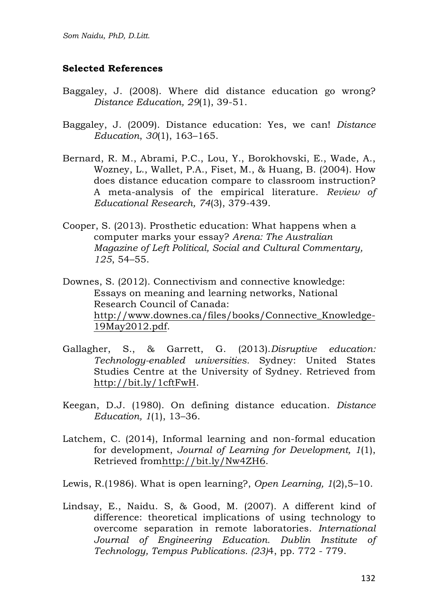### **Selected References**

- Baggaley, J. (2008). Where did distance education go wrong? *Distance Education, 29*(1), 39-51.
- Baggaley, J. (2009). Distance education: Yes, we can! *Distance Education*, *30*(1), 163–165.
- Bernard, R. M., Abrami, P.C., Lou, Y., Borokhovski, E., Wade, A., Wozney, L., Wallet, P.A., Fiset, M., & Huang, B. (2004). How does distance education compare to classroom instruction? A meta-analysis of the empirical literature. *Review of Educational Research, 74*(3), 379-439.
- Cooper, S. (2013). Prosthetic education: What happens when a computer marks your essay? *Arena: The Australian Magazine of Left Political, Social and Cultural Commentary, 125*, 54–55.
- Downes, S. (2012). Connectivism and connective knowledge: Essays on meaning and learning networks, National Research Council of Canada: http://www.downes.ca/files/books/Connective\_Knowledge-19May2012.pdf.
- Gallagher, S., & Garrett, G. (2013).*Disruptive education: Technology-enabled universities.* Sydney: United States Studies Centre at the University of Sydney. Retrieved from http://bit.ly/1cftFwH.
- Keegan, D.J. (1980). On defining distance education. *Distance Education, 1*(1), 13–36.
- Latchem, C. (2014), Informal learning and non-formal education for development, *Journal of Learning for Development, 1*(1), Retrieved fromhttp://bit.ly/Nw4ZH6.
- Lewis, R.(1986). What is open learning?, *Open Learning, 1*(2),5–10.
- Lindsay, E., Naidu. S, & Good, M. (2007). A different kind of difference: theoretical implications of using technology to overcome separation in remote laboratories. *International Journal of Engineering Education. Dublin Institute of Technology, Tempus Publications. (23)*4, pp. 772 - 779.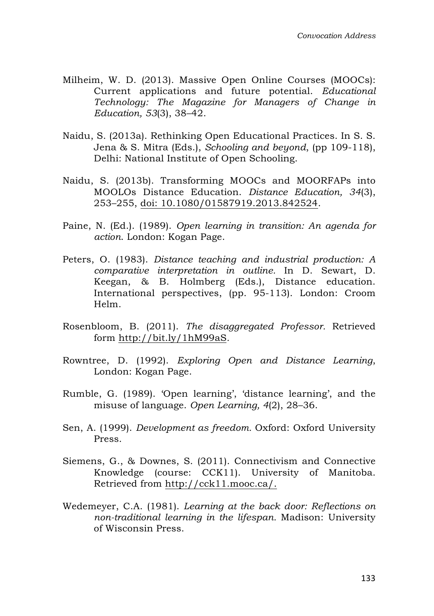- Milheim, W. D. (2013). Massive Open Online Courses (MOOCs): Current applications and future potential. *Educational Technology: The Magazine for Managers of Change in Education, 53*(3), 38–42.
- Naidu, S. (2013a). Rethinking Open Educational Practices. In S. S. Jena & S. Mitra (Eds.), *Schooling and beyond*, (pp 109-118), Delhi: National Institute of Open Schooling.
- Naidu, S. (2013b). Transforming MOOCs and MOORFAPs into MOOLOs Distance Education. *Distance Education, 34*(3), 253–255, doi: 10.1080/01587919.2013.842524.
- Paine, N. (Ed.). (1989). *Open learning in transition: An agenda for action*. London: Kogan Page.
- Peters, O. (1983). *Distance teaching and industrial production: A comparative interpretation in outline.* In D. Sewart, D. Keegan, & B. Holmberg (Eds.), Distance education. International perspectives, (pp. 95-113). London: Croom Helm.
- Rosenbloom, B. (2011). *The disaggregated Professor.* Retrieved form http://bit.ly/1hM99aS*.*
- Rowntree, D. (1992). *Exploring Open and Distance Learning*, London: Kogan Page.
- Rumble, G. (1989). 'Open learning', 'distance learning', and the misuse of language. *Open Learning, 4*(2), 28–36.
- Sen, A. (1999). *Development as freedom.* Oxford: Oxford University Press.
- Siemens, G., & Downes, S. (2011). Connectivism and Connective Knowledge (course: CCK11). University of Manitoba. Retrieved from http://cck11.mooc.ca/.
- Wedemeyer, C.A. (1981). *Learning at the back door: Reflections on non-traditional learning in the lifespan.* Madison: University of Wisconsin Press.